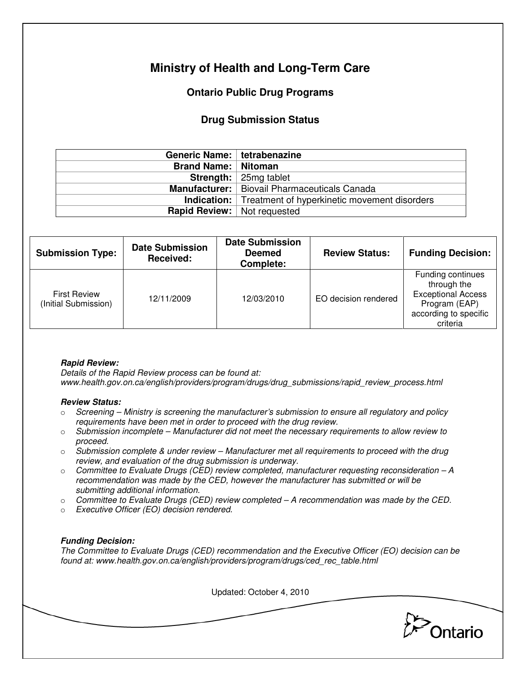# **Ministry of Health and Long-Term Care**

## **Ontario Public Drug Programs**

### **Drug Submission Status**

| Generic Name: tetrabenazine          |                                                                 |  |  |
|--------------------------------------|-----------------------------------------------------------------|--|--|
| <b>Brand Name:   Nitoman</b>         |                                                                 |  |  |
|                                      | <b>Strength:</b> $\vert$ 25mg tablet                            |  |  |
|                                      | Manufacturer:   Biovail Pharmaceuticals Canada                  |  |  |
|                                      | <b>Indication:</b> Treatment of hyperkinetic movement disorders |  |  |
| <b>Rapid Review:</b>   Not requested |                                                                 |  |  |

| <b>Submission Type:</b>                     | <b>Date Submission</b><br>Received: | <b>Date Submission</b><br><b>Deemed</b><br>Complete: | <b>Review Status:</b> | <b>Funding Decision:</b>                                                                                            |
|---------------------------------------------|-------------------------------------|------------------------------------------------------|-----------------------|---------------------------------------------------------------------------------------------------------------------|
| <b>First Review</b><br>(Initial Submission) | 12/11/2009                          | 12/03/2010                                           | EO decision rendered  | Funding continues<br>through the<br><b>Exceptional Access</b><br>Program (EAP)<br>according to specific<br>criteria |

#### **Rapid Review:**

Details of the Rapid Review process can be found at: www.health.gov.on.ca/english/providers/program/drugs/drug\_submissions/rapid\_review\_process.html

#### **Review Status:**

- $\circ$  Screening Ministry is screening the manufacturer's submission to ensure all regulatory and policy requirements have been met in order to proceed with the drug review.
- $\circ$  Submission incomplete Manufacturer did not meet the necessary requirements to allow review to proceed.
- $\circ$  Submission complete & under review Manufacturer met all requirements to proceed with the drug review, and evaluation of the drug submission is underway.
- $\circ$  Committee to Evaluate Drugs (CED) review completed, manufacturer requesting reconsideration  $-A$ recommendation was made by the CED, however the manufacturer has submitted or will be submitting additional information.
- $\circ$  Committee to Evaluate Drugs (CED) review completed  $-A$  recommendation was made by the CED.
- o Executive Officer (EO) decision rendered.

#### **Funding Decision:**

The Committee to Evaluate Drugs (CED) recommendation and the Executive Officer (EO) decision can be found at: www.health.gov.on.ca/english/providers/program/drugs/ced\_rec\_table.html

Updated: October 4, 2010